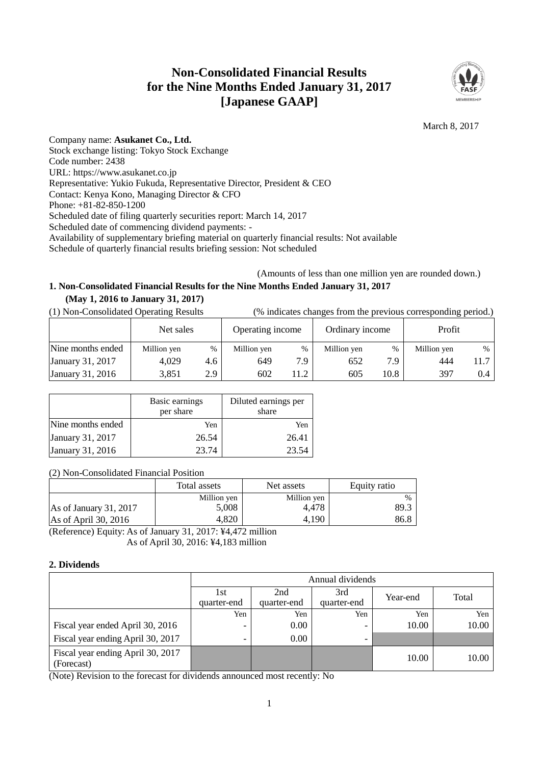# **Non-Consolidated Financial Results for the Nine Months Ended January 31, 2017 [Japanese GAAP]**



# March 8, 2017

Company name: **Asukanet Co., Ltd.** Stock exchange listing: Tokyo Stock Exchange Code number: 2438 URL: https://www.asukanet.co.jp Representative: Yukio Fukuda, Representative Director, President & CEO Contact: Kenya Kono, Managing Director & CFO Phone: +81-82-850-1200 Scheduled date of filing quarterly securities report: March 14, 2017 Scheduled date of commencing dividend payments: - Availability of supplementary briefing material on quarterly financial results: Not available Schedule of quarterly financial results briefing session: Not scheduled

# (Amounts of less than one million yen are rounded down.)

# **1. Non-Consolidated Financial Results for the Nine Months Ended January 31, 2017 (May 1, 2016 to January 31, 2017)**

(1) Non-Consolidated Operating Results (% indicates changes from the previous corresponding period.)

|                   | Net sales   |      | Operating income |      | Ordinary income |      | Profit      |      |
|-------------------|-------------|------|------------------|------|-----------------|------|-------------|------|
| Nine months ended | Million yen | $\%$ | Million yen      | $\%$ | Million yen     | $\%$ | Million yen | %    |
| January 31, 2017  | 4,029       | 4.6  | 649              | 7.9  | 652             | 7.9  | 444         | 11.7 |
| January 31, 2016  | 3,851       | 2.9  | 602              | 11.2 | 605             | 10.8 | 397         | 0.4  |

|                   | Basic earnings<br>per share | Diluted earnings per<br>share |  |
|-------------------|-----------------------------|-------------------------------|--|
| Nine months ended | Yen                         | Yen                           |  |
| January 31, 2017  | 26.54                       | 26.41                         |  |
| January 31, 2016  | 23.74                       | 23.54                         |  |

(2) Non-Consolidated Financial Position

|                        | Total assets | Net assets  | Equity ratio  |
|------------------------|--------------|-------------|---------------|
|                        | Million yen  | Million yen | $\frac{0}{6}$ |
| As of January 31, 2017 | 5,008        | 4.478       | 89.3          |
| As of April 30, 2016   | 4.820        | 4.190       | 86.8          |

(Reference) Equity: As of January 31, 2017: ¥4,472 million As of April 30, 2016: ¥4,183 million

# **2. Dividends**

|                                                 | Annual dividends         |                    |                          |          |       |  |  |  |  |
|-------------------------------------------------|--------------------------|--------------------|--------------------------|----------|-------|--|--|--|--|
|                                                 | 1st<br>quarter-end       | 2nd<br>quarter-end | 3rd<br>quarter-end       | Year-end | Total |  |  |  |  |
|                                                 | Yen                      | Yen                | Yen                      | Yen      | Yen   |  |  |  |  |
| Fiscal year ended April 30, 2016                |                          | $0.00\,$           | $\overline{\phantom{0}}$ | 10.00    | 10.00 |  |  |  |  |
| Fiscal year ending April 30, 2017               | $\overline{\phantom{0}}$ | $0.00\,$           | $\overline{\phantom{0}}$ |          |       |  |  |  |  |
| Fiscal year ending April 30, 2017<br>(Forecast) |                          |                    |                          | 10.00    | 10.00 |  |  |  |  |

(Note) Revision to the forecast for dividends announced most recently: No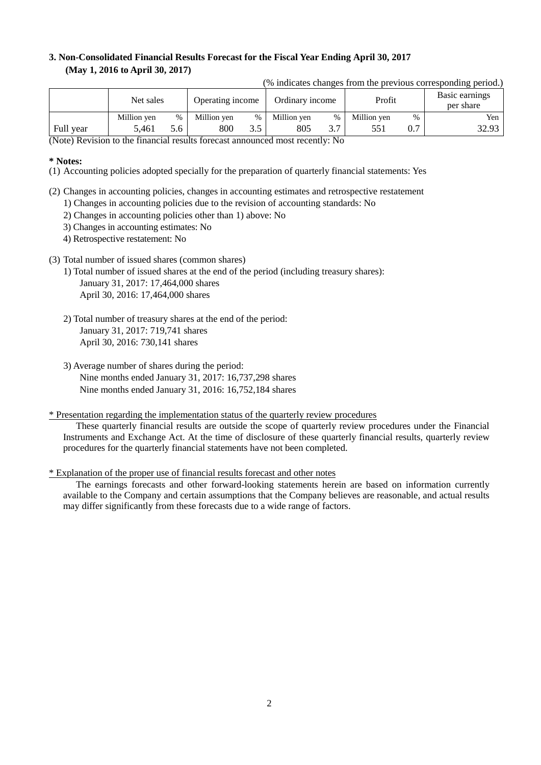# **3. Non-Consolidated Financial Results Forecast for the Fiscal Year Ending April 30, 2017 (May 1, 2016 to April 30, 2017)**

|  |  |  | (% indicates changes from the previous corresponding period.) |  |
|--|--|--|---------------------------------------------------------------|--|

|           | Net sales   |      | Operating income |   | Ordinary income |               | Profit      |      | Basic earnings<br>per share |
|-----------|-------------|------|------------------|---|-----------------|---------------|-------------|------|-----------------------------|
|           | Million yen | $\%$ | Million ven      | % | Million yen     | %             | Million yen | $\%$ | Yen                         |
| Full year | 5.461       | 5.6  | 800              |   | 805             | $\sim$ $\sim$ | 551         | 0.7  | 32.93                       |

(Note) Revision to the financial results forecast announced most recently: No

### **\* Notes:**

- (1) Accounting policies adopted specially for the preparation of quarterly financial statements: Yes
- (2) Changes in accounting policies, changes in accounting estimates and retrospective restatement
	- 1) Changes in accounting policies due to the revision of accounting standards: No
	- 2) Changes in accounting policies other than 1) above: No
	- 3) Changes in accounting estimates: No
	- 4) Retrospective restatement: No
- (3) Total number of issued shares (common shares)
	- 1) Total number of issued shares at the end of the period (including treasury shares): January 31, 2017: 17,464,000 shares April 30, 2016: 17,464,000 shares
	- 2) Total number of treasury shares at the end of the period: January 31, 2017: 719,741 shares April 30, 2016: 730,141 shares
	- 3) Average number of shares during the period: Nine months ended January 31, 2017: 16,737,298 shares Nine months ended January 31, 2016: 16,752,184 shares

### \* Presentation regarding the implementation status of the quarterly review procedures

These quarterly financial results are outside the scope of quarterly review procedures under the Financial Instruments and Exchange Act. At the time of disclosure of these quarterly financial results, quarterly review procedures for the quarterly financial statements have not been completed.

### \* Explanation of the proper use of financial results forecast and other notes

The earnings forecasts and other forward-looking statements herein are based on information currently available to the Company and certain assumptions that the Company believes are reasonable, and actual results may differ significantly from these forecasts due to a wide range of factors.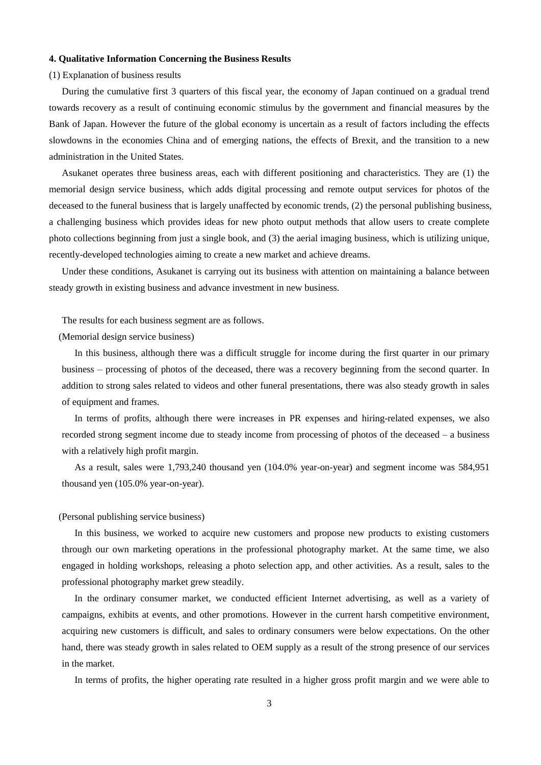### **4. Qualitative Information Concerning the Business Results**

(1) Explanation of business results

During the cumulative first 3 quarters of this fiscal year, the economy of Japan continued on a gradual trend towards recovery as a result of continuing economic stimulus by the government and financial measures by the Bank of Japan. However the future of the global economy is uncertain as a result of factors including the effects slowdowns in the economies China and of emerging nations, the effects of Brexit, and the transition to a new administration in the United States.

Asukanet operates three business areas, each with different positioning and characteristics. They are (1) the memorial design service business, which adds digital processing and remote output services for photos of the deceased to the funeral business that is largely unaffected by economic trends, (2) the personal publishing business, a challenging business which provides ideas for new photo output methods that allow users to create complete photo collections beginning from just a single book, and (3) the aerial imaging business, which is utilizing unique, recently-developed technologies aiming to create a new market and achieve dreams.

Under these conditions, Asukanet is carrying out its business with attention on maintaining a balance between steady growth in existing business and advance investment in new business.

The results for each business segment are as follows.

(Memorial design service business)

In this business, although there was a difficult struggle for income during the first quarter in our primary business – processing of photos of the deceased, there was a recovery beginning from the second quarter. In addition to strong sales related to videos and other funeral presentations, there was also steady growth in sales of equipment and frames.

In terms of profits, although there were increases in PR expenses and hiring-related expenses, we also recorded strong segment income due to steady income from processing of photos of the deceased – a business with a relatively high profit margin.

As a result, sales were 1,793,240 thousand yen (104.0% year-on-year) and segment income was 584,951 thousand yen (105.0% year-on-year).

#### (Personal publishing service business)

In this business, we worked to acquire new customers and propose new products to existing customers through our own marketing operations in the professional photography market. At the same time, we also engaged in holding workshops, releasing a photo selection app, and other activities. As a result, sales to the professional photography market grew steadily.

In the ordinary consumer market, we conducted efficient Internet advertising, as well as a variety of campaigns, exhibits at events, and other promotions. However in the current harsh competitive environment, acquiring new customers is difficult, and sales to ordinary consumers were below expectations. On the other hand, there was steady growth in sales related to OEM supply as a result of the strong presence of our services in the market.

In terms of profits, the higher operating rate resulted in a higher gross profit margin and we were able to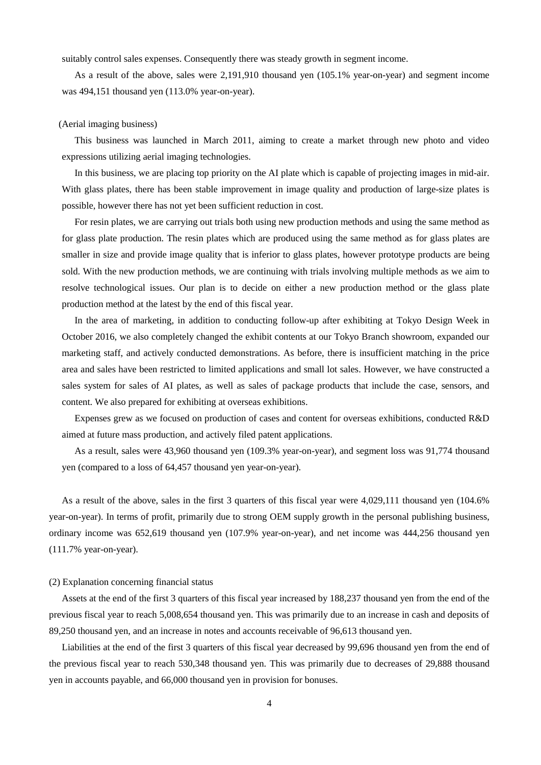suitably control sales expenses. Consequently there was steady growth in segment income.

As a result of the above, sales were 2,191,910 thousand yen (105.1% year-on-year) and segment income was 494,151 thousand yen (113.0% year-on-year).

#### (Aerial imaging business)

This business was launched in March 2011, aiming to create a market through new photo and video expressions utilizing aerial imaging technologies.

In this business, we are placing top priority on the AI plate which is capable of projecting images in mid-air. With glass plates, there has been stable improvement in image quality and production of large-size plates is possible, however there has not yet been sufficient reduction in cost.

For resin plates, we are carrying out trials both using new production methods and using the same method as for glass plate production. The resin plates which are produced using the same method as for glass plates are smaller in size and provide image quality that is inferior to glass plates, however prototype products are being sold. With the new production methods, we are continuing with trials involving multiple methods as we aim to resolve technological issues. Our plan is to decide on either a new production method or the glass plate production method at the latest by the end of this fiscal year.

In the area of marketing, in addition to conducting follow-up after exhibiting at Tokyo Design Week in October 2016, we also completely changed the exhibit contents at our Tokyo Branch showroom, expanded our marketing staff, and actively conducted demonstrations. As before, there is insufficient matching in the price area and sales have been restricted to limited applications and small lot sales. However, we have constructed a sales system for sales of AI plates, as well as sales of package products that include the case, sensors, and content. We also prepared for exhibiting at overseas exhibitions.

Expenses grew as we focused on production of cases and content for overseas exhibitions, conducted R&D aimed at future mass production, and actively filed patent applications.

As a result, sales were 43,960 thousand yen (109.3% year-on-year), and segment loss was 91,774 thousand yen (compared to a loss of 64,457 thousand yen year-on-year).

As a result of the above, sales in the first 3 quarters of this fiscal year were 4,029,111 thousand yen (104.6% year-on-year). In terms of profit, primarily due to strong OEM supply growth in the personal publishing business, ordinary income was 652,619 thousand yen (107.9% year-on-year), and net income was 444,256 thousand yen (111.7% year-on-year).

#### (2) Explanation concerning financial status

Assets at the end of the first 3 quarters of this fiscal year increased by 188,237 thousand yen from the end of the previous fiscal year to reach 5,008,654 thousand yen. This was primarily due to an increase in cash and deposits of 89,250 thousand yen, and an increase in notes and accounts receivable of 96,613 thousand yen.

Liabilities at the end of the first 3 quarters of this fiscal year decreased by 99,696 thousand yen from the end of the previous fiscal year to reach 530,348 thousand yen. This was primarily due to decreases of 29,888 thousand yen in accounts payable, and 66,000 thousand yen in provision for bonuses.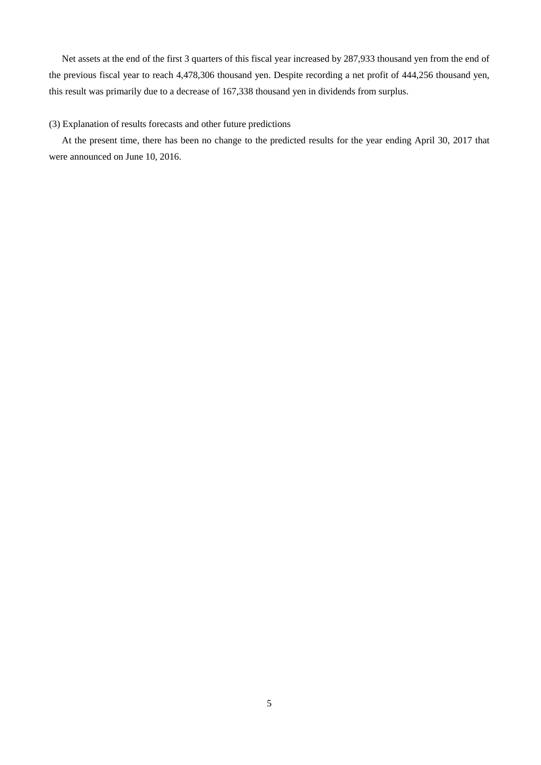Net assets at the end of the first 3 quarters of this fiscal year increased by 287,933 thousand yen from the end of the previous fiscal year to reach 4,478,306 thousand yen. Despite recording a net profit of 444,256 thousand yen, this result was primarily due to a decrease of 167,338 thousand yen in dividends from surplus.

# (3) Explanation of results forecasts and other future predictions

At the present time, there has been no change to the predicted results for the year ending April 30, 2017 that were announced on June 10, 2016.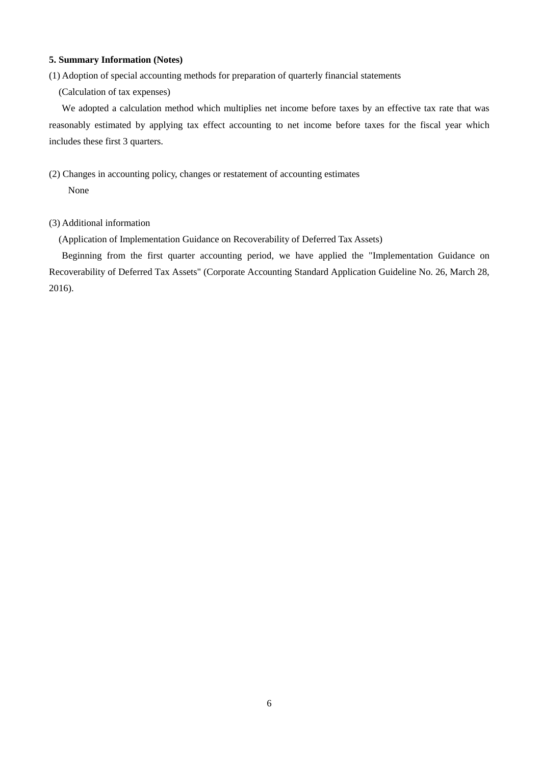### **5. Summary Information (Notes)**

(1) Adoption of special accounting methods for preparation of quarterly financial statements

(Calculation of tax expenses)

We adopted a calculation method which multiplies net income before taxes by an effective tax rate that was reasonably estimated by applying tax effect accounting to net income before taxes for the fiscal year which includes these first 3 quarters.

(2) Changes in accounting policy, changes or restatement of accounting estimates None

# (3) Additional information

(Application of Implementation Guidance on Recoverability of Deferred Tax Assets)

Beginning from the first quarter accounting period, we have applied the "Implementation Guidance on Recoverability of Deferred Tax Assets" (Corporate Accounting Standard Application Guideline No. 26, March 28, 2016).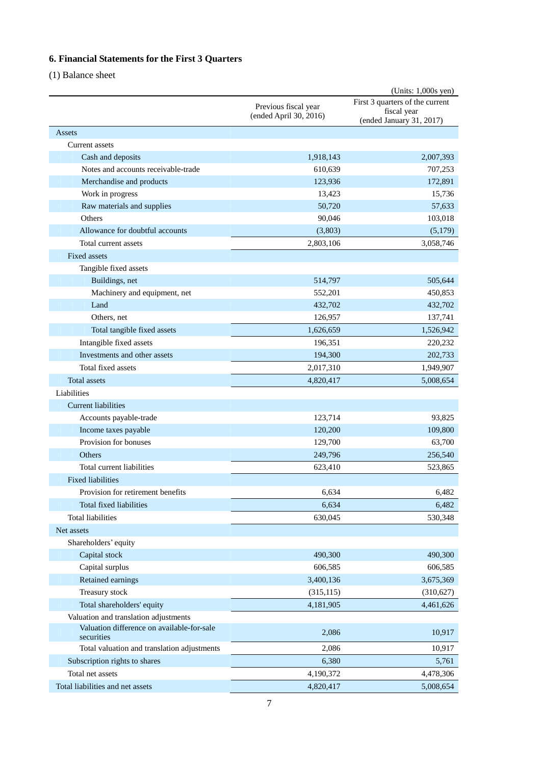# **6. Financial Statements for the First 3 Quarters**

(1) Balance sheet

|                                                           |                        | (Units: 1,000s yen)                     |
|-----------------------------------------------------------|------------------------|-----------------------------------------|
|                                                           | Previous fiscal year   | First 3 quarters of the current         |
|                                                           | (ended April 30, 2016) | fiscal year<br>(ended January 31, 2017) |
| Assets                                                    |                        |                                         |
| Current assets                                            |                        |                                         |
| Cash and deposits                                         | 1,918,143              | 2,007,393                               |
| Notes and accounts receivable-trade                       | 610,639                | 707,253                                 |
| Merchandise and products                                  | 123,936                | 172,891                                 |
| Work in progress                                          | 13,423                 | 15,736                                  |
| Raw materials and supplies                                | 50,720                 | 57,633                                  |
| Others                                                    | 90,046                 | 103,018                                 |
| Allowance for doubtful accounts                           | (3,803)                | (5,179)                                 |
| Total current assets                                      | 2,803,106              | 3,058,746                               |
| Fixed assets                                              |                        |                                         |
| Tangible fixed assets                                     |                        |                                         |
| Buildings, net                                            | 514,797                | 505,644                                 |
| Machinery and equipment, net                              | 552,201                | 450,853                                 |
| Land                                                      | 432,702                | 432,702                                 |
| Others, net                                               | 126,957                | 137,741                                 |
| Total tangible fixed assets                               | 1,626,659              | 1,526,942                               |
|                                                           |                        |                                         |
| Intangible fixed assets                                   | 196,351                | 220,232                                 |
| Investments and other assets                              | 194,300                | 202,733                                 |
| Total fixed assets                                        | 2,017,310              | 1,949,907                               |
| <b>Total assets</b>                                       | 4,820,417              | 5,008,654                               |
| Liabilities                                               |                        |                                         |
| <b>Current liabilities</b>                                |                        |                                         |
| Accounts payable-trade                                    | 123,714                | 93,825                                  |
| Income taxes payable                                      | 120,200                | 109,800                                 |
| Provision for bonuses                                     | 129,700                | 63,700                                  |
| Others                                                    | 249,796                | 256,540                                 |
| Total current liabilities                                 | 623,410                | 523,865                                 |
| <b>Fixed liabilities</b>                                  |                        |                                         |
| Provision for retirement benefits                         | 6,634                  | 6,482                                   |
| Total fixed liabilities                                   | 6,634                  | 6,482                                   |
| <b>Total liabilities</b>                                  | 630,045                | 530,348                                 |
| Net assets                                                |                        |                                         |
| Shareholders' equity                                      |                        |                                         |
| Capital stock                                             | 490,300                | 490,300                                 |
| Capital surplus                                           | 606,585                | 606,585                                 |
| Retained earnings                                         | 3,400,136              | 3,675,369                               |
| Treasury stock                                            | (315, 115)             | (310, 627)                              |
| Total shareholders' equity                                | 4,181,905              | 4,461,626                               |
| Valuation and translation adjustments                     |                        |                                         |
| Valuation difference on available-for-sale                | 2,086                  | 10,917                                  |
| securities<br>Total valuation and translation adjustments | 2,086                  | 10,917                                  |
| Subscription rights to shares                             | 6,380                  | 5,761                                   |
| Total net assets                                          | 4,190,372              | 4,478,306                               |
| Total liabilities and net assets                          | 4,820,417              | 5,008,654                               |
|                                                           |                        |                                         |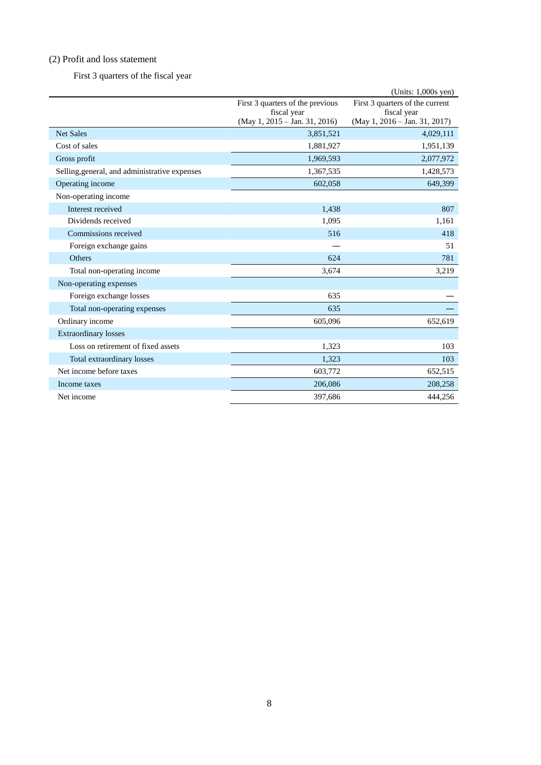# (2) Profit and loss statement

First 3 quarters of the fiscal year

|                                               |                                              | (Units: 1,000s yen)                          |
|-----------------------------------------------|----------------------------------------------|----------------------------------------------|
|                                               | First 3 quarters of the previous             | First 3 quarters of the current              |
|                                               | fiscal year<br>(May 1, 2015 - Jan. 31, 2016) | fiscal year<br>(May 1, 2016 - Jan. 31, 2017) |
| <b>Net Sales</b>                              |                                              |                                              |
|                                               | 3,851,521                                    | 4,029,111                                    |
| Cost of sales                                 | 1,881,927                                    | 1,951,139                                    |
| Gross profit                                  | 1,969,593                                    | 2,077,972                                    |
| Selling, general, and administrative expenses | 1,367,535                                    | 1,428,573                                    |
| Operating income                              | 602,058                                      | 649,399                                      |
| Non-operating income                          |                                              |                                              |
| Interest received                             | 1,438                                        | 807                                          |
| Dividends received                            | 1,095                                        | 1,161                                        |
| Commissions received                          | 516                                          | 418                                          |
| Foreign exchange gains                        |                                              | 51                                           |
| Others                                        | 624                                          | 781                                          |
| Total non-operating income                    | 3,674                                        | 3,219                                        |
| Non-operating expenses                        |                                              |                                              |
| Foreign exchange losses                       | 635                                          |                                              |
| Total non-operating expenses                  | 635                                          |                                              |
| Ordinary income                               | 605,096                                      | 652,619                                      |
| <b>Extraordinary losses</b>                   |                                              |                                              |
| Loss on retirement of fixed assets            | 1,323                                        | 103                                          |
| Total extraordinary losses                    | 1,323                                        | 103                                          |
| Net income before taxes                       | 603,772                                      | 652,515                                      |
| Income taxes                                  | 206,086                                      | 208,258                                      |
| Net income                                    | 397,686                                      | 444,256                                      |